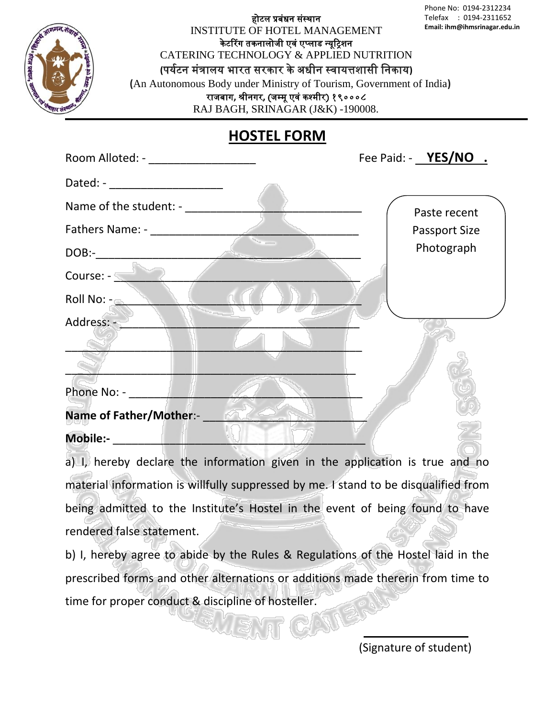होटल प्रबंधन संस्थान INSTITUTE OF HOTEL MANAGEMENT के टररग तकनालोजी एवं एप्लाड न्यूट्रिशन CATERING TECHNOLOGY & APPLIED NUTRITION **(**पययटन मंत्रालय भारत सरकार के अधीन स्वायत्तशासी ननकाय**) (**An Autonomous Body under Ministry of Tourism, Government of India**)** राजबाग, श्रीनगर, (जम्मू एवं कश्मीर) १९०००८ Telefax : 0194-2311652 **Email: ihm@ihmsrinagar.edu.in** 

RAJ BAGH, SRINAGAR (J&K) -190008.

## **HOSTEL FORM**

| Room Alloted: - ____________________ | Fee Paid: - YES/NO . |
|--------------------------------------|----------------------|
| Dated: - ______________________      |                      |
|                                      | Paste recent         |
|                                      | Passport Size        |
|                                      | Photograph           |
| Course: - The Course: 1999           |                      |
| Roll No: -                           |                      |
| Address: -                           |                      |
|                                      |                      |
|                                      |                      |
| Phone No: - _________                |                      |
| Name of Father/Mother:-              |                      |
| <b>Mobile:-</b>                      |                      |

a) I, hereby declare the information given in the application is true and no material information is willfully suppressed by me. I stand to be disqualified from being admitted to the Institute's Hostel in the event of being found to have rendered false statement.

b) I, hereby agree to abide by the Rules & Regulations of the Hostel laid in the prescribed forms and other alternations or additions made thererin from time to time for proper conduct & discipline of hosteller.

(Signature of student)

Phone No: 0194-2312234